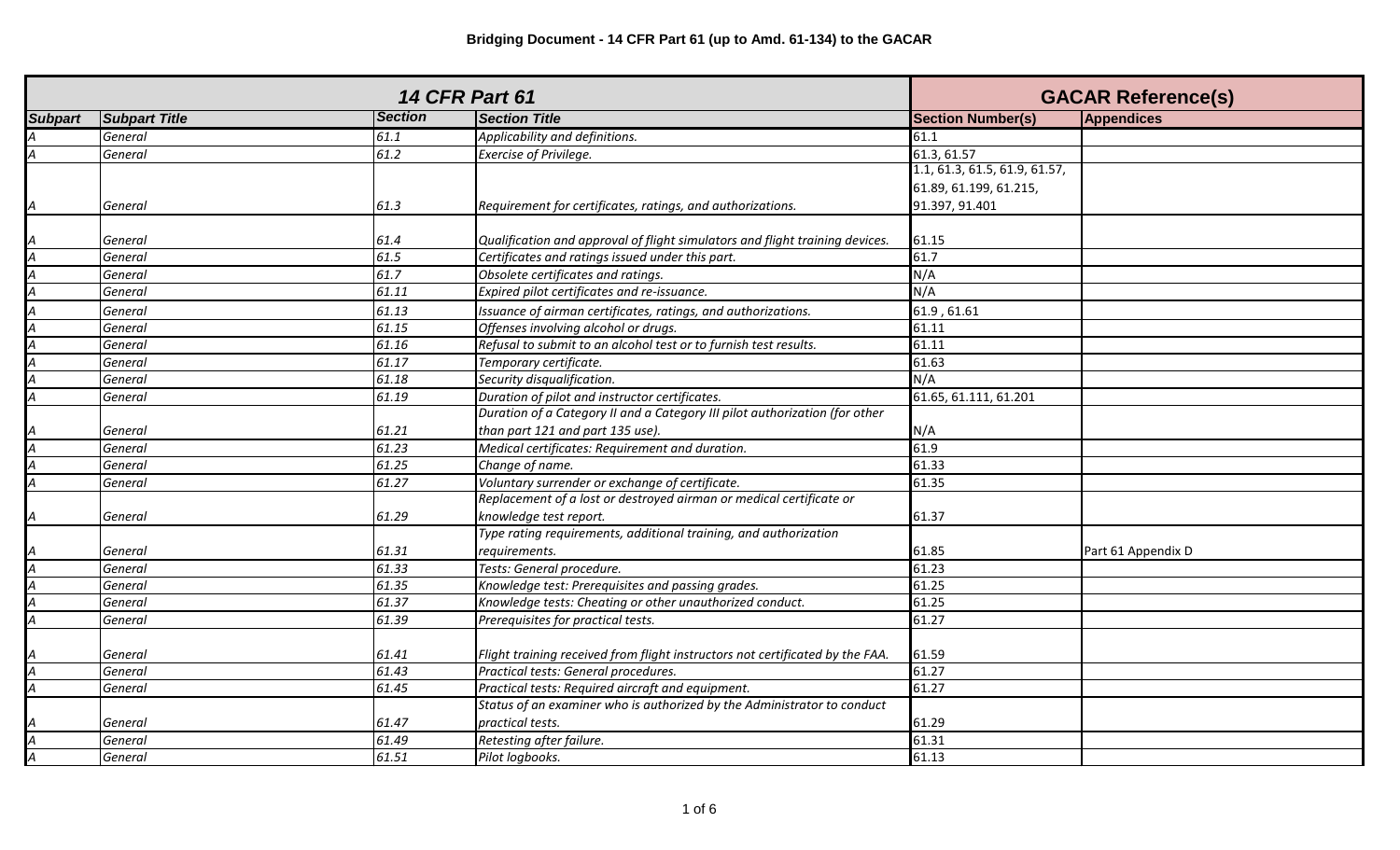| <b>14 CFR Part 61</b>   |                      |                |                                                                               | <b>GACAR Reference(s)</b>     |                    |
|-------------------------|----------------------|----------------|-------------------------------------------------------------------------------|-------------------------------|--------------------|
| <b>Subpart</b>          | <b>Subpart Title</b> | <b>Section</b> | <b>Section Title</b>                                                          | <b>Section Number(s)</b>      | Appendices         |
|                         | General              | 61.1           | Applicability and definitions.                                                | 61.1                          |                    |
|                         | General              | 61.2           | Exercise of Privilege.                                                        | 61.3, 61.57                   |                    |
|                         |                      |                |                                                                               | 1.1, 61.3, 61.5, 61.9, 61.57, |                    |
|                         |                      |                |                                                                               | 61.89, 61.199, 61.215,        |                    |
| A                       | General              | 61.3           | Requirement for certificates, ratings, and authorizations.                    | 91.397, 91.401                |                    |
|                         |                      |                |                                                                               |                               |                    |
|                         | General              | 61.4           | Qualification and approval of flight simulators and flight training devices.  | 61.15                         |                    |
|                         | General              | 61.5           | Certificates and ratings issued under this part.                              | 61.7                          |                    |
|                         | General              | 61.7           | Obsolete certificates and ratings.                                            | N/A                           |                    |
|                         | General              | 61.11          | Expired pilot certificates and re-issuance.                                   | N/A                           |                    |
|                         | General              | 61.13          | Issuance of airman certificates, ratings, and authorizations.                 | 61.9, 61.61                   |                    |
|                         | General              | 61.15          | Offenses involving alcohol or drugs.                                          | 61.11                         |                    |
|                         | General              | 61.16          | Refusal to submit to an alcohol test or to furnish test results.              | 61.11                         |                    |
|                         | General              | 61.17          | Temporary certificate.                                                        | 61.63                         |                    |
|                         | General              | 61.18          | Security disqualification.                                                    | N/A                           |                    |
|                         | General              | 61.19          | Duration of pilot and instructor certificates.                                | 61.65, 61.111, 61.201         |                    |
|                         |                      |                | Duration of a Category II and a Category III pilot authorization (for other   |                               |                    |
|                         | General              | 61.21          | than part 121 and part 135 use).                                              | N/A                           |                    |
|                         | General              | 61.23          | Medical certificates: Requirement and duration.                               | 61.9                          |                    |
|                         | General              | 61.25          | Change of name.                                                               | 61.33                         |                    |
|                         | General              | 61.27          | Voluntary surrender or exchange of certificate.                               | 61.35                         |                    |
|                         |                      |                | Replacement of a lost or destroyed airman or medical certificate or           |                               |                    |
|                         | General              | 61.29          | knowledge test report.                                                        | 61.37                         |                    |
|                         |                      |                | Type rating requirements, additional training, and authorization              |                               |                    |
|                         | General              | 61.31          | requirements.                                                                 | 61.85                         | Part 61 Appendix D |
| A                       | General              | 61.33          | Tests: General procedure.                                                     | 61.23                         |                    |
|                         | General              | 61.35          | Knowledge test: Prerequisites and passing grades.                             | 61.25                         |                    |
|                         | General              | 61.37          | Knowledge tests: Cheating or other unauthorized conduct.                      | 61.25                         |                    |
|                         | General              | 61.39          | Prerequisites for practical tests.                                            | 61.27                         |                    |
|                         |                      |                |                                                                               |                               |                    |
|                         | General              | 61.41          | Flight training received from flight instructors not certificated by the FAA. | 61.59                         |                    |
|                         | General              | 61.43          | Practical tests: General procedures.                                          | 61.27                         |                    |
| $\boldsymbol{A}$        | General              | 61.45          | Practical tests: Required aircraft and equipment.                             | 61.27                         |                    |
|                         |                      |                | Status of an examiner who is authorized by the Administrator to conduct       |                               |                    |
|                         | General              | 61.47          | practical tests.                                                              | 61.29                         |                    |
|                         | General              | 61.49          | Retesting after failure.                                                      | 61.31                         |                    |
| $\overline{\mathsf{A}}$ | General              | 61.51          | Pilot logbooks.                                                               | 61.13                         |                    |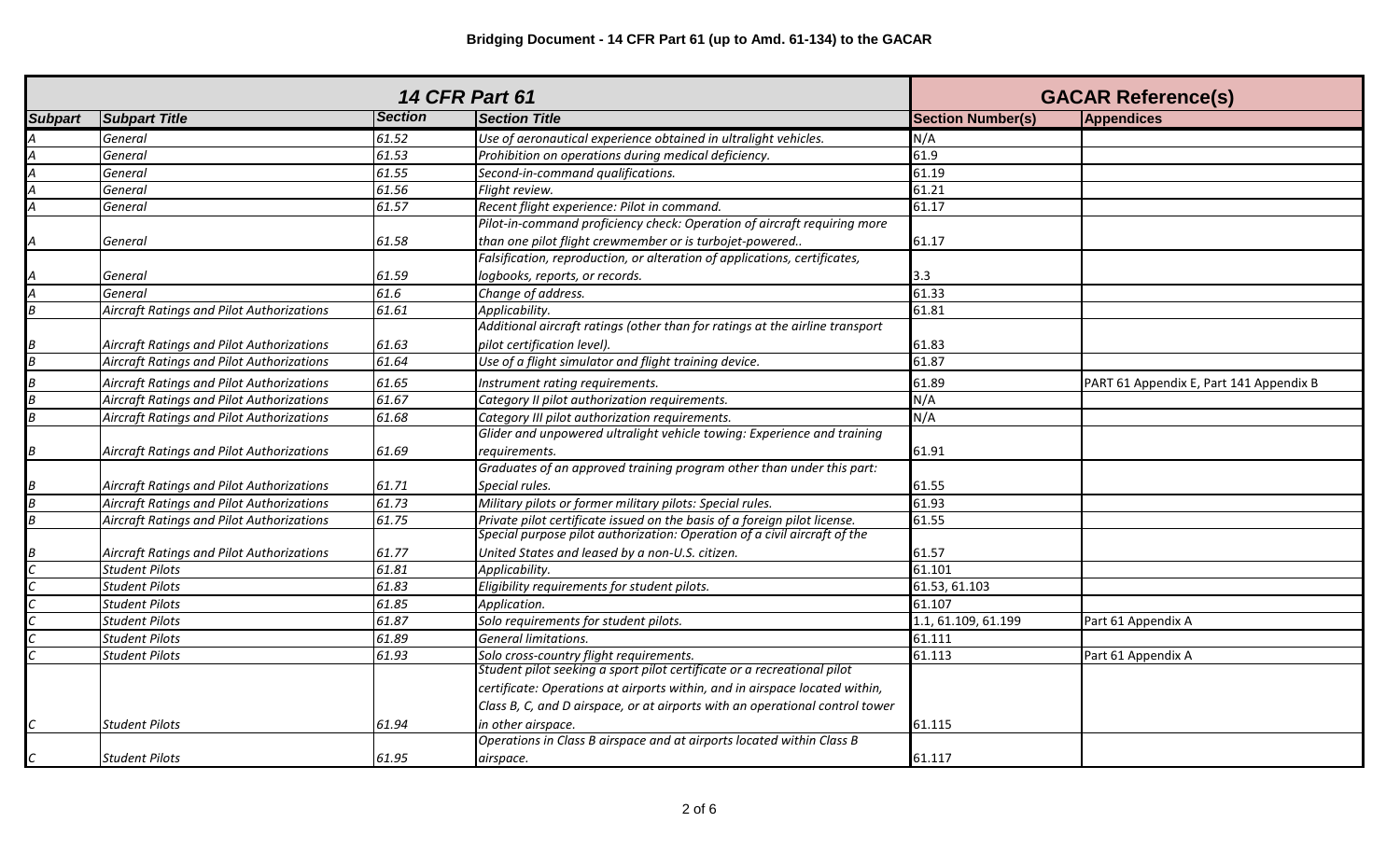| <b>14 CFR Part 61</b> |                                                  |                | <b>GACAR Reference(s)</b>                                                    |                          |                                         |
|-----------------------|--------------------------------------------------|----------------|------------------------------------------------------------------------------|--------------------------|-----------------------------------------|
| <b>Subpart</b>        | <b>Subpart Title</b>                             | <b>Section</b> | <b>Section Title</b>                                                         | <b>Section Number(s)</b> | Appendices                              |
|                       | General                                          | 61.52          | Use of aeronautical experience obtained in ultralight vehicles.              | N/A                      |                                         |
|                       | General                                          | 61.53          | Prohibition on operations during medical deficiency.                         | 61.9                     |                                         |
|                       | General                                          | 61.55          | Second-in-command qualifications.                                            | 61.19                    |                                         |
|                       | General                                          | 61.56          | Flight review.                                                               | 61.21                    |                                         |
|                       | General                                          | 61.57          | Recent flight experience: Pilot in command.                                  | 61.17                    |                                         |
|                       |                                                  |                | Pilot-in-command proficiency check: Operation of aircraft requiring more     |                          |                                         |
|                       | General                                          | 61.58          | than one pilot flight crewmember or is turbojet-powered                      | 61.17                    |                                         |
|                       |                                                  |                | Falsification, reproduction, or alteration of applications, certificates,    |                          |                                         |
|                       | General                                          | 61.59          | logbooks, reports, or records.                                               | 3.3                      |                                         |
|                       | General                                          | 61.6           | Change of address.                                                           | 61.33                    |                                         |
| R                     | <b>Aircraft Ratings and Pilot Authorizations</b> | 61.61          | Applicability.                                                               | 61.81                    |                                         |
|                       |                                                  |                | Additional aircraft ratings (other than for ratings at the airline transport |                          |                                         |
|                       | Aircraft Ratings and Pilot Authorizations        | 61.63          | pilot certification level).                                                  | 61.83                    |                                         |
|                       | <b>Aircraft Ratings and Pilot Authorizations</b> | 61.64          | Use of a flight simulator and flight training device.                        | 61.87                    |                                         |
|                       | Aircraft Ratings and Pilot Authorizations        | 61.65          | Instrument rating requirements.                                              | 61.89                    | PART 61 Appendix E, Part 141 Appendix B |
|                       | <b>Aircraft Ratings and Pilot Authorizations</b> | 61.67          | Category II pilot authorization requirements.                                | N/A                      |                                         |
|                       | Aircraft Ratings and Pilot Authorizations        | 61.68          | Category III pilot authorization requirements.                               | N/A                      |                                         |
|                       |                                                  |                | Glider and unpowered ultralight vehicle towing: Experience and training      |                          |                                         |
|                       | Aircraft Ratings and Pilot Authorizations        | 61.69          | requirements.                                                                | 61.91                    |                                         |
|                       |                                                  |                | Graduates of an approved training program other than under this part:        |                          |                                         |
|                       | Aircraft Ratings and Pilot Authorizations        | 61.71          | Special rules.                                                               | 61.55                    |                                         |
|                       | Aircraft Ratings and Pilot Authorizations        | 61.73          | Military pilots or former military pilots: Special rules.                    | 61.93                    |                                         |
|                       | Aircraft Ratings and Pilot Authorizations        | 61.75          | Private pilot certificate issued on the basis of a foreign pilot license.    | 61.55                    |                                         |
|                       |                                                  |                | Special purpose pilot authorization: Operation of a civil aircraft of the    |                          |                                         |
|                       | Aircraft Ratings and Pilot Authorizations        | 61.77          | United States and leased by a non-U.S. citizen.                              | 61.57                    |                                         |
|                       | <b>Student Pilots</b>                            | 61.81          | Applicability.                                                               | 61.101                   |                                         |
|                       | <b>Student Pilots</b>                            | 61.83          | Eligibility requirements for student pilots.                                 | 61.53, 61.103            |                                         |
|                       | <b>Student Pilots</b>                            | 61.85          | Application.                                                                 | 61.107                   |                                         |
|                       | <b>Student Pilots</b>                            | 61.87          | Solo requirements for student pilots.                                        | 1.1, 61.109, 61.199      | Part 61 Appendix A                      |
|                       | <b>Student Pilots</b>                            | 61.89          | General limitations.                                                         | 61.111                   |                                         |
|                       | <b>Student Pilots</b>                            | 61.93          | Solo cross-country flight requirements.                                      | 61.113                   | Part 61 Appendix A                      |
|                       |                                                  |                | Student pilot seeking a sport pilot certificate or a recreational pilot      |                          |                                         |
|                       |                                                  |                | certificate: Operations at airports within, and in airspace located within,  |                          |                                         |
|                       |                                                  |                | Class B, C, and D airspace, or at airports with an operational control tower |                          |                                         |
|                       | <b>Student Pilots</b>                            | 61.94          | in other airspace.                                                           | 61.115                   |                                         |
|                       |                                                  |                | Operations in Class B airspace and at airports located within Class B        |                          |                                         |
|                       | <b>Student Pilots</b>                            | 61.95          | airspace.                                                                    | 61.117                   |                                         |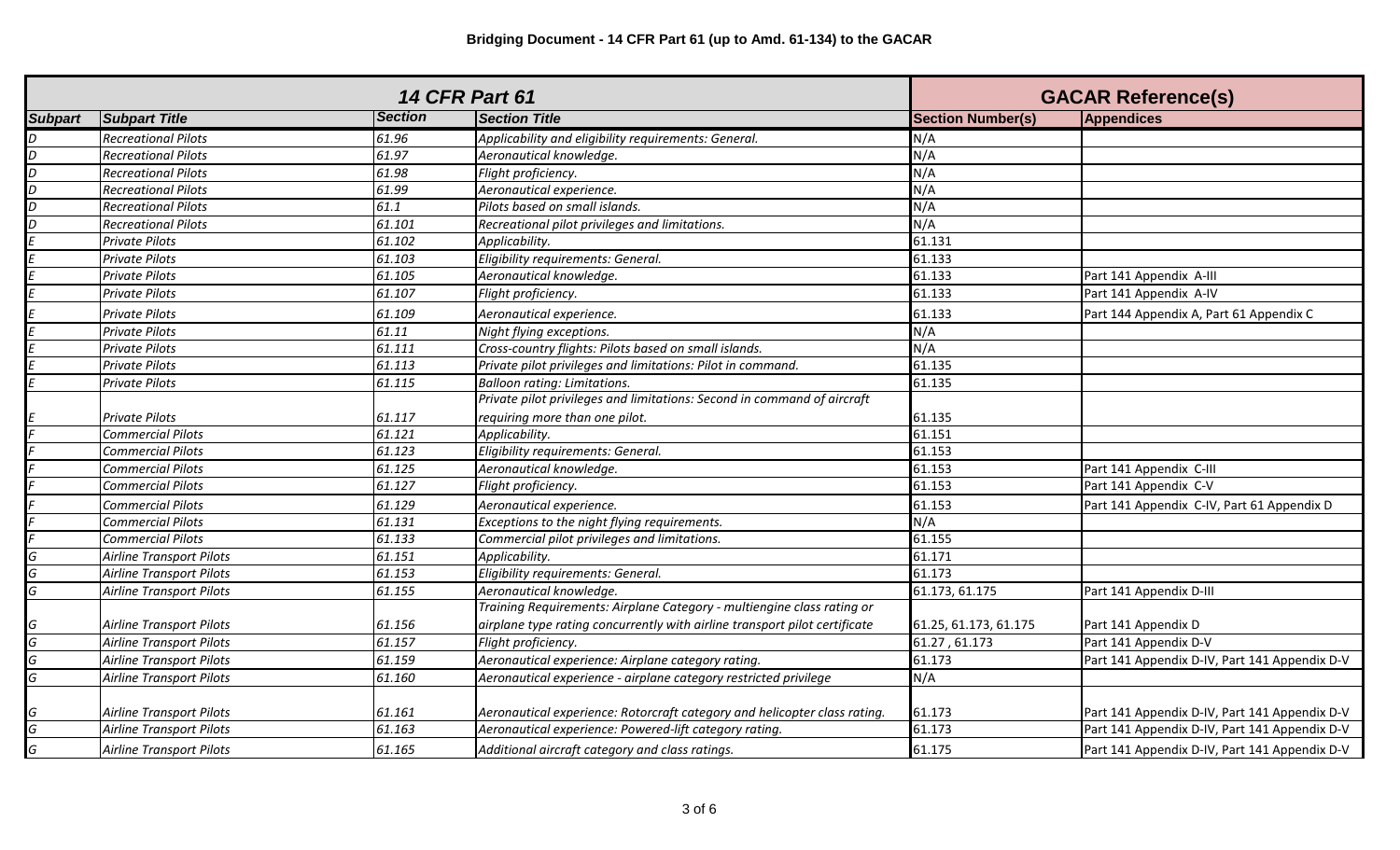| <b>14 CFR Part 61</b> |                                 |                | <b>GACAR Reference(s)</b>                                                  |                          |                                               |
|-----------------------|---------------------------------|----------------|----------------------------------------------------------------------------|--------------------------|-----------------------------------------------|
| <b>Subpart</b>        | <b>Subpart Title</b>            | <b>Section</b> | <b>Section Title</b>                                                       | <b>Section Number(s)</b> | <b>Appendices</b>                             |
| D                     | <b>Recreational Pilots</b>      | 61.96          | Applicability and eligibility requirements: General.                       | N/A                      |                                               |
| D                     | <b>Recreational Pilots</b>      | 61.97          | Aeronautical knowledge.                                                    | N/A                      |                                               |
| D                     | <b>Recreational Pilots</b>      | 61.98          | Flight proficiency.                                                        | N/A                      |                                               |
| D                     | <b>Recreational Pilots</b>      | 61.99          | Aeronautical experience.                                                   | N/A                      |                                               |
|                       | <b>Recreational Pilots</b>      | 61.1           | Pilots based on small islands.                                             | N/A                      |                                               |
|                       | <b>Recreational Pilots</b>      | 61.101         | Recreational pilot privileges and limitations.                             | N/A                      |                                               |
|                       | Private Pilots                  | 61.102         | Applicability.                                                             | 61.131                   |                                               |
|                       | Private Pilots                  | 61.103         | Eligibility requirements: General.                                         | 61.133                   |                                               |
|                       | Private Pilots                  | 61.105         | Aeronautical knowledge.                                                    | 61.133                   | Part 141 Appendix A-III                       |
|                       | Private Pilots                  | 61.107         | Flight proficiency.                                                        | 61.133                   | Part 141 Appendix A-IV                        |
|                       | Private Pilots                  | 61.109         | Aeronautical experience.                                                   | 61.133                   | Part 144 Appendix A, Part 61 Appendix C       |
|                       | Private Pilots                  | 61.11          | Night flying exceptions.                                                   | N/A                      |                                               |
|                       | Private Pilots                  | 61.111         | Cross-country flights: Pilots based on small islands.                      | N/A                      |                                               |
|                       | Private Pilots                  | 61.113         | Private pilot privileges and limitations: Pilot in command.                | 61.135                   |                                               |
|                       | Private Pilots                  | 61.115         | <b>Balloon rating: Limitations.</b>                                        | 61.135                   |                                               |
|                       |                                 |                | Private pilot privileges and limitations: Second in command of aircraft    |                          |                                               |
|                       | <b>Private Pilots</b>           | 61.117         | requiring more than one pilot.                                             | 61.135                   |                                               |
|                       | <b>Commercial Pilots</b>        | 61.121         | Applicability.                                                             | 61.151                   |                                               |
|                       | <b>Commercial Pilots</b>        | 61.123         | Eligibility requirements: General.                                         | 61.153                   |                                               |
|                       | <b>Commercial Pilots</b>        | 61.125         | Aeronautical knowledge.                                                    | 61.153                   | Part 141 Appendix C-III                       |
|                       | <b>Commercial Pilots</b>        | 61.127         | Flight proficiency.                                                        | 61.153                   | Part 141 Appendix C-V                         |
|                       | <b>Commercial Pilots</b>        | 61.129         | Aeronautical experience.                                                   | 61.153                   | Part 141 Appendix C-IV, Part 61 Appendix D    |
|                       | <b>Commercial Pilots</b>        | 61.131         | Exceptions to the night flying requirements.                               | N/A                      |                                               |
|                       | <b>Commercial Pilots</b>        | 61.133         | Commercial pilot privileges and limitations.                               | 61.155                   |                                               |
| G                     | <b>Airline Transport Pilots</b> | 61.151         | Applicability.                                                             | 61.171                   |                                               |
| G                     | <b>Airline Transport Pilots</b> | 61.153         | Eligibility requirements: General.                                         | 61.173                   |                                               |
| G                     | <b>Airline Transport Pilots</b> | 61.155         | Aeronautical knowledge.                                                    | 61.173, 61.175           | Part 141 Appendix D-III                       |
|                       |                                 |                | Training Requirements: Airplane Category - multiengine class rating or     |                          |                                               |
| G                     | <b>Airline Transport Pilots</b> | 61.156         | airplane type rating concurrently with airline transport pilot certificate | 61.25, 61.173, 61.175    | Part 141 Appendix D                           |
| G                     | Airline Transport Pilots        | 61.157         | Flight proficiency.                                                        | 61.27, 61.173            | Part 141 Appendix D-V                         |
| G                     | <b>Airline Transport Pilots</b> | 61.159         | Aeronautical experience: Airplane category rating.                         | 61.173                   | Part 141 Appendix D-IV, Part 141 Appendix D-V |
| G                     | <b>Airline Transport Pilots</b> | 61.160         | Aeronautical experience - airplane category restricted privilege           | N/A                      |                                               |
|                       |                                 |                |                                                                            |                          |                                               |
| G                     | <b>Airline Transport Pilots</b> | 61.161         | Aeronautical experience: Rotorcraft category and helicopter class rating.  | 61.173                   | Part 141 Appendix D-IV, Part 141 Appendix D-V |
| G                     | <b>Airline Transport Pilots</b> | 61.163         | Aeronautical experience: Powered-lift category rating.                     | 61.173                   | Part 141 Appendix D-IV, Part 141 Appendix D-V |
| G                     | <b>Airline Transport Pilots</b> | 61.165         | Additional aircraft category and class ratings.                            | 61.175                   | Part 141 Appendix D-IV, Part 141 Appendix D-V |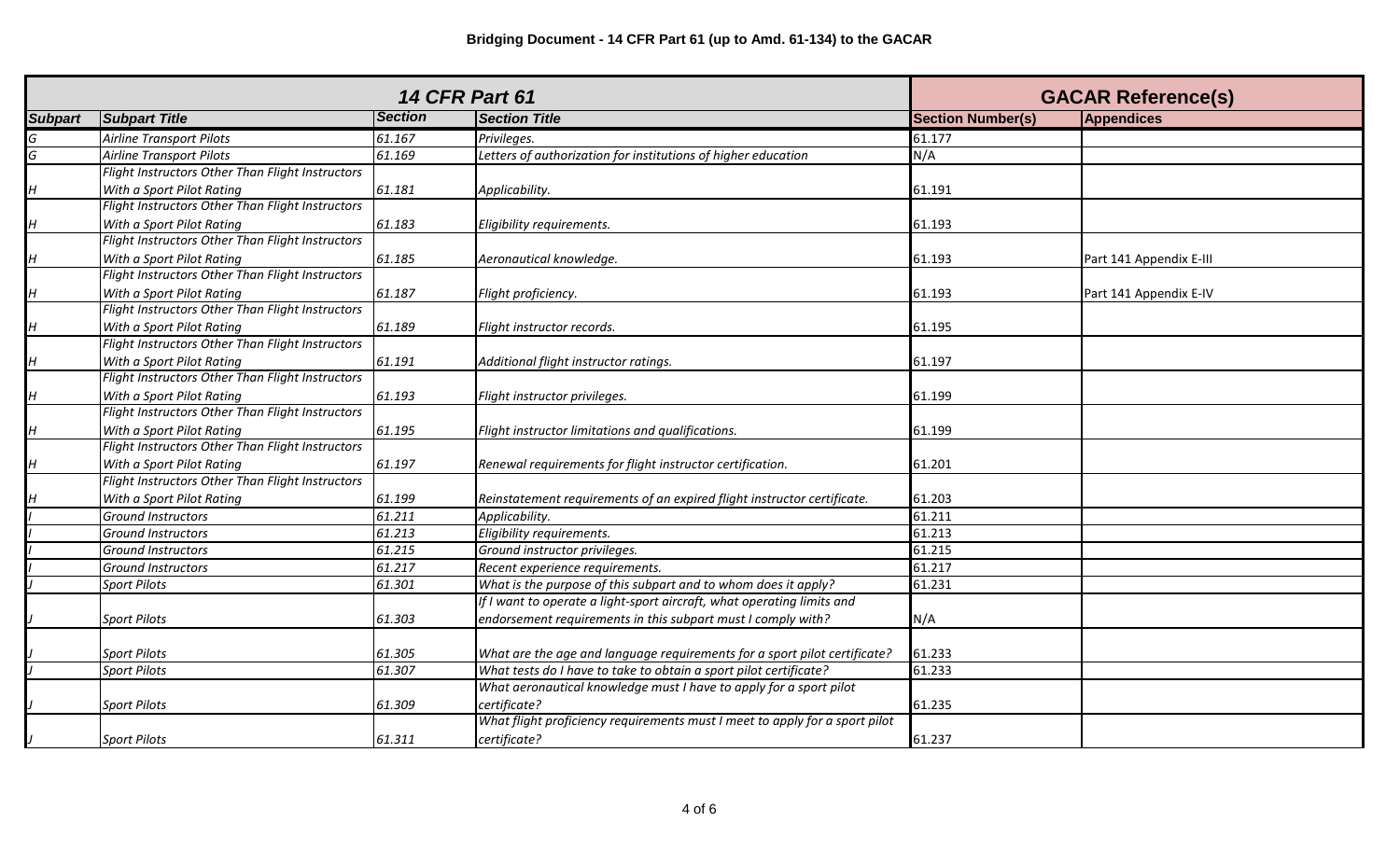| <b>14 CFR Part 61</b> |                                                  |                |                                                                             | <b>GACAR Reference(s)</b> |                         |
|-----------------------|--------------------------------------------------|----------------|-----------------------------------------------------------------------------|---------------------------|-------------------------|
| <b>Subpart</b>        | <b>Subpart Title</b>                             | <b>Section</b> | <b>Section Title</b>                                                        | <b>Section Number(s)</b>  | <b>Appendices</b>       |
| G                     | Airline Transport Pilots                         | 61.167         | Privileges.                                                                 | 61.177                    |                         |
| G                     | <b>Airline Transport Pilots</b>                  | 61.169         | Letters of authorization for institutions of higher education               | N/A                       |                         |
|                       | Flight Instructors Other Than Flight Instructors |                |                                                                             |                           |                         |
| H                     | With a Sport Pilot Rating                        | 61.181         | Applicability.                                                              | 61.191                    |                         |
|                       | Flight Instructors Other Than Flight Instructors |                |                                                                             |                           |                         |
| H                     | With a Sport Pilot Rating                        | 61.183         | Eligibility requirements.                                                   | 61.193                    |                         |
|                       | Flight Instructors Other Than Flight Instructors |                |                                                                             |                           |                         |
| H                     | With a Sport Pilot Rating                        | 61.185         | Aeronautical knowledge.                                                     | 61.193                    | Part 141 Appendix E-III |
|                       | Flight Instructors Other Than Flight Instructors |                |                                                                             |                           |                         |
| H                     | With a Sport Pilot Rating                        | 61.187         | Flight proficiency.                                                         | 61.193                    | Part 141 Appendix E-IV  |
|                       | Flight Instructors Other Than Flight Instructors |                |                                                                             |                           |                         |
| $H_{\rm}$             | With a Sport Pilot Rating                        | 61.189         | Flight instructor records.                                                  | 61.195                    |                         |
|                       | Flight Instructors Other Than Flight Instructors |                |                                                                             |                           |                         |
| H                     | With a Sport Pilot Rating                        | 61.191         | Additional flight instructor ratings.                                       | 61.197                    |                         |
|                       | Flight Instructors Other Than Flight Instructors |                |                                                                             |                           |                         |
| H                     | With a Sport Pilot Rating                        | 61.193         | Flight instructor privileges.                                               | 61.199                    |                         |
|                       | Flight Instructors Other Than Flight Instructors |                |                                                                             |                           |                         |
| H                     | With a Sport Pilot Rating                        | 61.195         | Flight instructor limitations and qualifications.                           | 61.199                    |                         |
|                       | Flight Instructors Other Than Flight Instructors |                |                                                                             |                           |                         |
| H                     | With a Sport Pilot Rating                        | 61.197         | Renewal requirements for flight instructor certification.                   | 61.201                    |                         |
|                       | Flight Instructors Other Than Flight Instructors |                |                                                                             |                           |                         |
| Н                     | With a Sport Pilot Rating                        | 61.199         | Reinstatement requirements of an expired flight instructor certificate.     | 61.203                    |                         |
|                       | Ground Instructors                               | 61.211         | Applicability.                                                              | 61.211                    |                         |
|                       | <b>Ground Instructors</b>                        | 61.213         | Eligibility requirements.                                                   | 61.213                    |                         |
|                       | <b>Ground Instructors</b>                        | 61.215         | Ground instructor privileges.                                               | 61.215                    |                         |
|                       | Ground Instructors                               | 61.217         | Recent experience requirements.                                             | 61.217                    |                         |
|                       | <b>Sport Pilots</b>                              | 61.301         | What is the purpose of this subpart and to whom does it apply?              | 61.231                    |                         |
|                       |                                                  |                | If I want to operate a light-sport aircraft, what operating limits and      |                           |                         |
|                       | <b>Sport Pilots</b>                              | 61.303         | endorsement requirements in this subpart must I comply with?                | N/A                       |                         |
|                       |                                                  |                |                                                                             |                           |                         |
|                       | <b>Sport Pilots</b>                              | 61.305         | What are the age and language requirements for a sport pilot certificate?   | 61.233                    |                         |
|                       | <b>Sport Pilots</b>                              | 61.307         | What tests do I have to take to obtain a sport pilot certificate?           | 61.233                    |                         |
|                       |                                                  |                | What aeronautical knowledge must I have to apply for a sport pilot          |                           |                         |
|                       | <b>Sport Pilots</b>                              | 61.309         | certificate?                                                                | 61.235                    |                         |
|                       |                                                  |                | What flight proficiency requirements must I meet to apply for a sport pilot |                           |                         |
|                       | <b>Sport Pilots</b>                              | 61.311         | certificate?                                                                | 61.237                    |                         |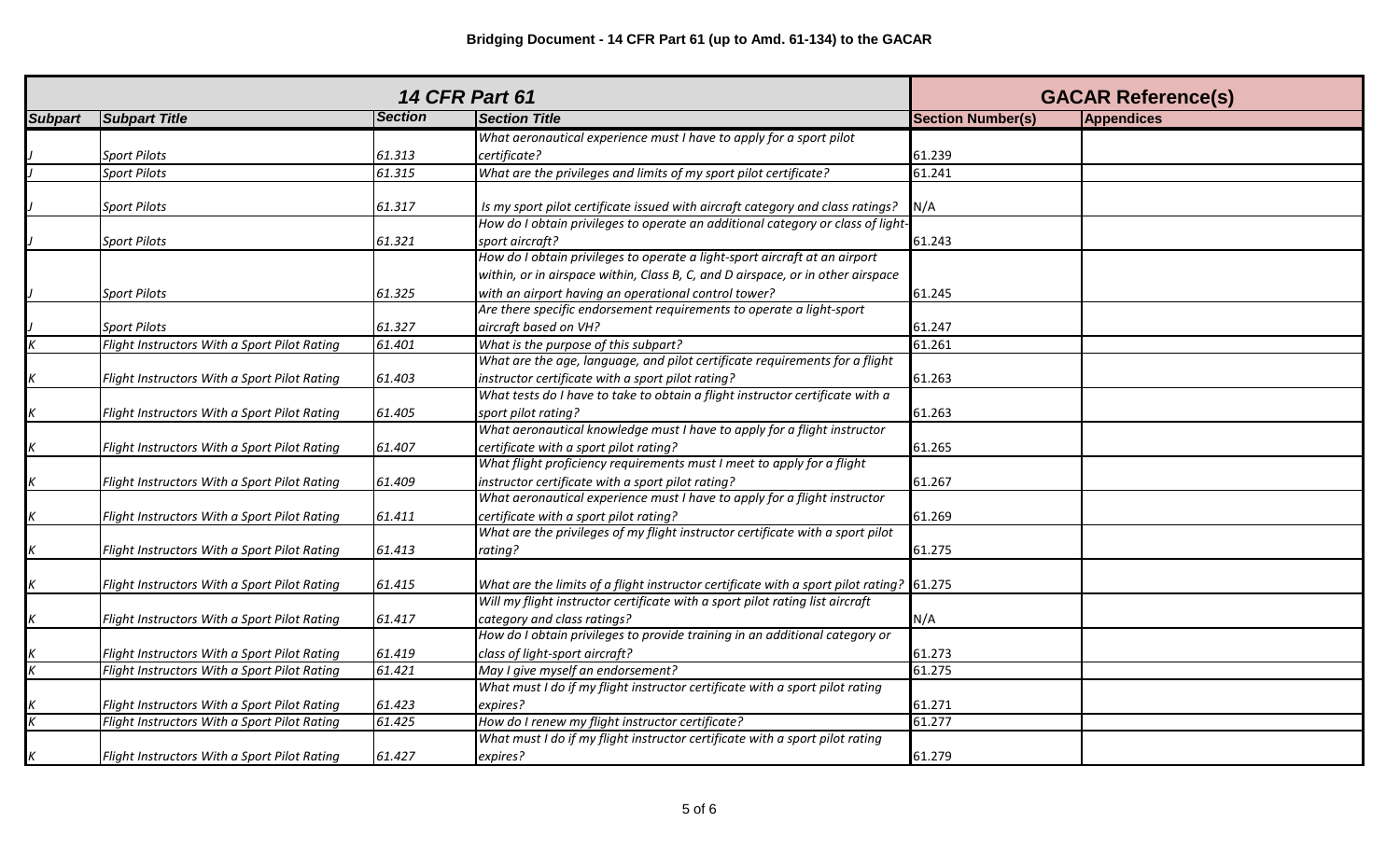| <b>14 CFR Part 61</b>    |                                              |                |                                                                                            | <b>GACAR Reference(s)</b> |            |
|--------------------------|----------------------------------------------|----------------|--------------------------------------------------------------------------------------------|---------------------------|------------|
| <b>Subpart</b>           | <b>Subpart Title</b>                         | <b>Section</b> | <b>Section Title</b>                                                                       | <b>Section Number(s)</b>  | Appendices |
|                          |                                              |                | What aeronautical experience must I have to apply for a sport pilot                        |                           |            |
|                          | <b>Sport Pilots</b>                          | 61.313         | certificate?                                                                               | 61.239                    |            |
|                          | <b>Sport Pilots</b>                          | 61.315         | What are the privileges and limits of my sport pilot certificate?                          | 61.241                    |            |
|                          |                                              |                |                                                                                            |                           |            |
|                          | <b>Sport Pilots</b>                          | 61.317         | Is my sport pilot certificate issued with aircraft category and class ratings?             | N/A                       |            |
|                          |                                              |                | How do I obtain privileges to operate an additional category or class of light-            |                           |            |
|                          | <b>Sport Pilots</b>                          | 61.321         | sport aircraft?                                                                            | 61.243                    |            |
|                          |                                              |                | How do I obtain privileges to operate a light-sport aircraft at an airport                 |                           |            |
|                          |                                              |                | within, or in airspace within, Class B, C, and D airspace, or in other airspace            |                           |            |
|                          | <b>Sport Pilots</b>                          | 61.325         | with an airport having an operational control tower?                                       | 61.245                    |            |
|                          |                                              |                | Are there specific endorsement requirements to operate a light-sport                       |                           |            |
|                          | <b>Sport Pilots</b>                          | 61.327         | aircraft based on VH?                                                                      | 61.247                    |            |
| $\overline{\mathcal{K}}$ | Flight Instructors With a Sport Pilot Rating | 61.401         | What is the purpose of this subpart?                                                       | 61.261                    |            |
|                          |                                              |                | What are the age, language, and pilot certificate requirements for a flight                |                           |            |
|                          | Flight Instructors With a Sport Pilot Rating | 61.403         | instructor certificate with a sport pilot rating?                                          | 61.263                    |            |
|                          |                                              |                | What tests do I have to take to obtain a flight instructor certificate with a              |                           |            |
| K                        | Flight Instructors With a Sport Pilot Rating | 61.405         | sport pilot rating?                                                                        | 61.263                    |            |
|                          |                                              |                | What aeronautical knowledge must I have to apply for a flight instructor                   |                           |            |
|                          | Flight Instructors With a Sport Pilot Rating | 61.407         | certificate with a sport pilot rating?                                                     | 61.265                    |            |
|                          |                                              |                | What flight proficiency requirements must I meet to apply for a flight                     |                           |            |
| K                        | Flight Instructors With a Sport Pilot Rating | 61.409         | instructor certificate with a sport pilot rating?                                          | 61.267                    |            |
|                          |                                              |                | What aeronautical experience must I have to apply for a flight instructor                  |                           |            |
| K                        | Flight Instructors With a Sport Pilot Rating | 61.411         | certificate with a sport pilot rating?                                                     | 61.269                    |            |
|                          |                                              |                | What are the privileges of my flight instructor certificate with a sport pilot             |                           |            |
|                          | Flight Instructors With a Sport Pilot Rating | 61.413         | rating?                                                                                    | 61.275                    |            |
|                          |                                              |                |                                                                                            |                           |            |
| $\boldsymbol{K}$         | Flight Instructors With a Sport Pilot Rating | 61.415         | What are the limits of a flight instructor certificate with a sport pilot rating? $61.275$ |                           |            |
|                          |                                              |                | Will my flight instructor certificate with a sport pilot rating list aircraft              |                           |            |
|                          | Flight Instructors With a Sport Pilot Rating | 61.417         | category and class ratings?                                                                | N/A                       |            |
|                          |                                              |                | How do I obtain privileges to provide training in an additional category or                |                           |            |
|                          | Flight Instructors With a Sport Pilot Rating | 61.419         | class of light-sport aircraft?                                                             | 61.273                    |            |
|                          | Flight Instructors With a Sport Pilot Rating | 61.421         | May I give myself an endorsement?                                                          | 61.275                    |            |
|                          |                                              |                | What must I do if my flight instructor certificate with a sport pilot rating               |                           |            |
|                          | Flight Instructors With a Sport Pilot Rating | 61.423         | expires?                                                                                   | 61.271                    |            |
|                          | Flight Instructors With a Sport Pilot Rating | 61.425         | How do I renew my flight instructor certificate?                                           | 61.277                    |            |
|                          |                                              |                | What must I do if my flight instructor certificate with a sport pilot rating               |                           |            |
| $\boldsymbol{K}$         | Flight Instructors With a Sport Pilot Rating | 61.427         | expires?                                                                                   | 61.279                    |            |